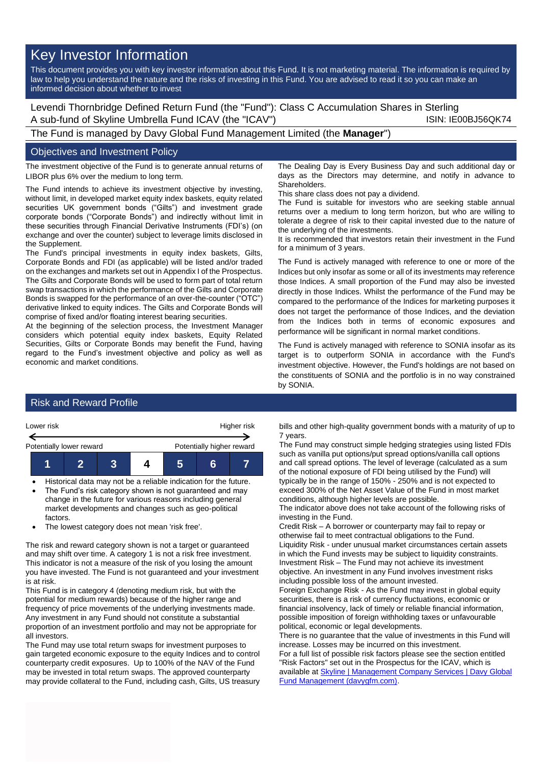## Key Investor Information

This document provides you with key investor information about this Fund. It is not marketing material. The information is required by law to help you understand the nature and the risks of investing in this Fund. You are advised to read it so you can make an informed decision about whether to invest

Levendi Thornbridge Defined Return Fund (the "Fund"): Class C Accumulation Shares in Sterling A sub-fund of Skyline Umbrella Fund ICAV (the "ICAV") ISIN: IE00BJ56QK74

The Fund is managed by Davy Global Fund Management Limited (the **Manager**")

## Objectives and Investment Policy

The investment objective of the Fund is to generate annual returns of LIBOR plus 6% over the medium to long term.

The Fund intends to achieve its investment objective by investing, without limit, in developed market equity index baskets, equity related securities UK government bonds ("Gilts") and investment grade corporate bonds ("Corporate Bonds") and indirectly without limit in these securities through Financial Derivative Instruments (FDI's) (on exchange and over the counter) subject to leverage limits disclosed in the Supplement.

The Fund's principal investments in equity index baskets, Gilts, Corporate Bonds and FDI (as applicable) will be listed and/or traded on the exchanges and markets set out in Appendix I of the Prospectus. The Gilts and Corporate Bonds will be used to form part of total return swap transactions in which the performance of the Gilts and Corporate Bonds is swapped for the performance of an over-the-counter ("OTC") derivative linked to equity indices. The Gilts and Corporate Bonds will comprise of fixed and/or floating interest bearing securities.

At the beginning of the selection process, the Investment Manager considers which potential equity index baskets, Equity Related Securities, Gilts or Corporate Bonds may benefit the Fund, having regard to the Fund's investment objective and policy as well as economic and market conditions.

The Dealing Day is Every Business Day and such additional day or days as the Directors may determine, and notify in advance to **Shareholders** 

This share class does not pay a dividend.

The Fund is suitable for investors who are seeking stable annual returns over a medium to long term horizon, but who are willing to tolerate a degree of risk to their capital invested due to the nature of the underlying of the investments.

It is recommended that investors retain their investment in the Fund for a minimum of 3 years.

The Fund is actively managed with reference to one or more of the Indices but only insofar as some or all of its investments may reference those Indices. A small proportion of the Fund may also be invested directly in those Indices. Whilst the performance of the Fund may be compared to the performance of the Indices for marketing purposes it does not target the performance of those Indices, and the deviation from the Indices both in terms of economic exposures and performance will be significant in normal market conditions.

The Fund is actively managed with reference to SONIA insofar as its target is to outperform SONIA in accordance with the Fund's investment objective. However, the Fund's holdings are not based on the constituents of SONIA and the portfolio is in no way constrained by SONIA.

## Risk and Reward Profile



• Historical data may not be a reliable indication for the future. The Fund's risk category shown is not guaranteed and may change in the future for various reasons including general

market developments and changes such as geo-political factors.

• The lowest category does not mean 'risk free'.

The risk and reward category shown is not a target or guaranteed and may shift over time. A category 1 is not a risk free investment. This indicator is not a measure of the risk of you losing the amount you have invested. The Fund is not guaranteed and your investment is at risk.

This Fund is in category 4 (denoting medium risk, but with the potential for medium rewards) because of the higher range and frequency of price movements of the underlying investments made. Any investment in any Fund should not constitute a substantial proportion of an investment portfolio and may not be appropriate for all investors.

The Fund may use total return swaps for investment purposes to gain targeted economic exposure to the equity Indices and to control counterparty credit exposures. Up to 100% of the NAV of the Fund may be invested in total return swaps. The approved counterparty may provide collateral to the Fund, including cash, Gilts, US treasury

bills and other high-quality government bonds with a maturity of up to 7 years.

The Fund may construct simple hedging strategies using listed FDIs such as vanilla put options/put spread options/vanilla call options and call spread options. The level of leverage (calculated as a sum of the notional exposure of FDI being utilised by the Fund) will typically be in the range of 150% - 250% and is not expected to exceed 300% of the Net Asset Value of the Fund in most market conditions, although higher levels are possible.

The indicator above does not take account of the following risks of investing in the Fund.

Credit Risk – A borrower or counterparty may fail to repay or otherwise fail to meet contractual obligations to the Fund. Liquidity Risk - under unusual market circumstances certain assets in which the Fund invests may be subject to liquidity constraints. Investment Risk – The Fund may not achieve its investment objective. An investment in any Fund involves investment risks including possible loss of the amount invested.

Foreign Exchange Risk - As the Fund may invest in global equity securities, there is a risk of currency fluctuations, economic or financial insolvency, lack of timely or reliable financial information, possible imposition of foreign withholding taxes or unfavourable political, economic or legal developments.

There is no guarantee that the value of investments in this Fund will increase. Losses may be incurred on this investment.

For a full list of possible risk factors please see the section entitled "Risk Factors" set out in the Prospectus for the ICAV, which is available a[t Skyline | Management Company Services | Davy Global](https://www.davygfm.com/funds-factsheets/management-company-services/ireland/skyline.html)  [Fund Management \(davygfm.com\).](https://www.davygfm.com/funds-factsheets/management-company-services/ireland/skyline.html)